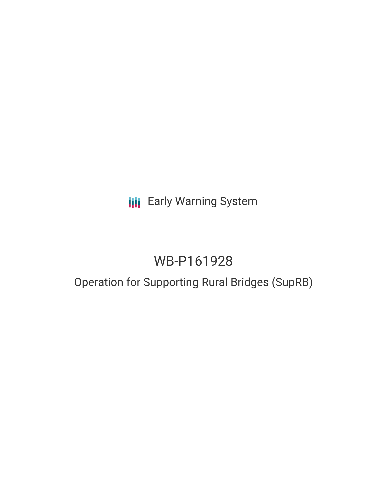## **III** Early Warning System

# WB-P161928

## Operation for Supporting Rural Bridges (SupRB)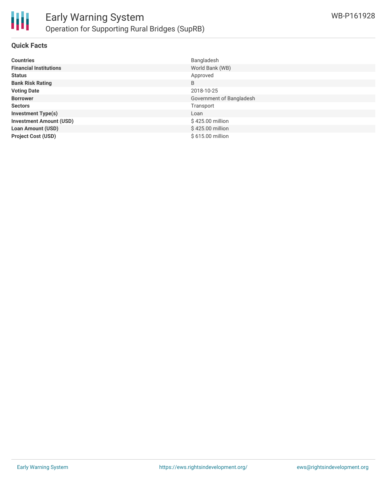

#### **Quick Facts**

| <b>Countries</b>               | Bangladesh               |
|--------------------------------|--------------------------|
| <b>Financial Institutions</b>  | World Bank (WB)          |
| <b>Status</b>                  | Approved                 |
| <b>Bank Risk Rating</b>        | B                        |
| <b>Voting Date</b>             | 2018-10-25               |
| <b>Borrower</b>                | Government of Bangladesh |
| <b>Sectors</b>                 | Transport                |
| <b>Investment Type(s)</b>      | Loan                     |
| <b>Investment Amount (USD)</b> | \$425.00 million         |
| <b>Loan Amount (USD)</b>       | \$425.00 million         |
| <b>Project Cost (USD)</b>      | \$615.00 million         |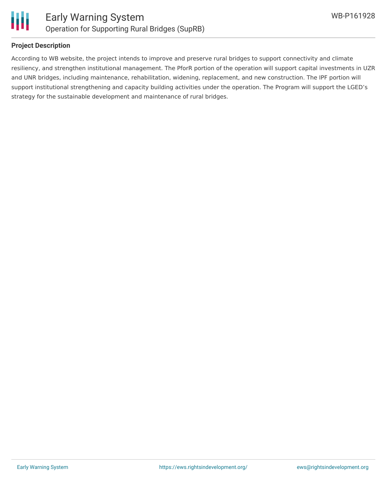

#### **Project Description**

According to WB website, the project intends to improve and preserve rural bridges to support connectivity and climate resiliency, and strengthen institutional management. The PforR portion of the operation will support capital investments in UZR and UNR bridges, including maintenance, rehabilitation, widening, replacement, and new construction. The IPF portion will support institutional strengthening and capacity building activities under the operation. The Program will support the LGED's strategy for the sustainable development and maintenance of rural bridges.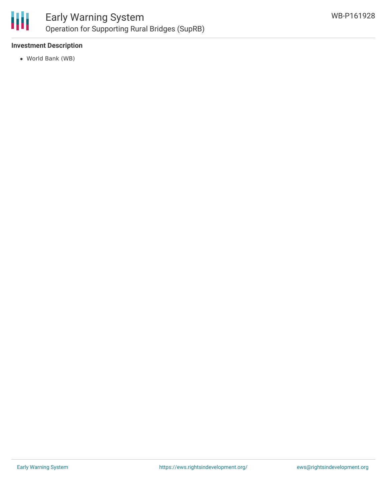

### Early Warning System Operation for Supporting Rural Bridges (SupRB)

#### **Investment Description**

World Bank (WB)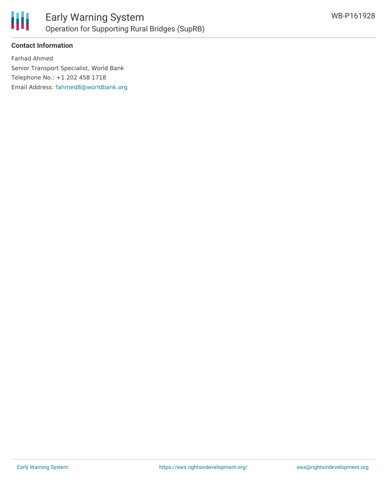

### **Contact Information**

Farhad Ahmed Senior Transport Specialist, World Bank Telephone No.: +1 202 458 1718 Email Address: [fahmed8@worldbank.org](mailto:fahmed8@worldbank.org)